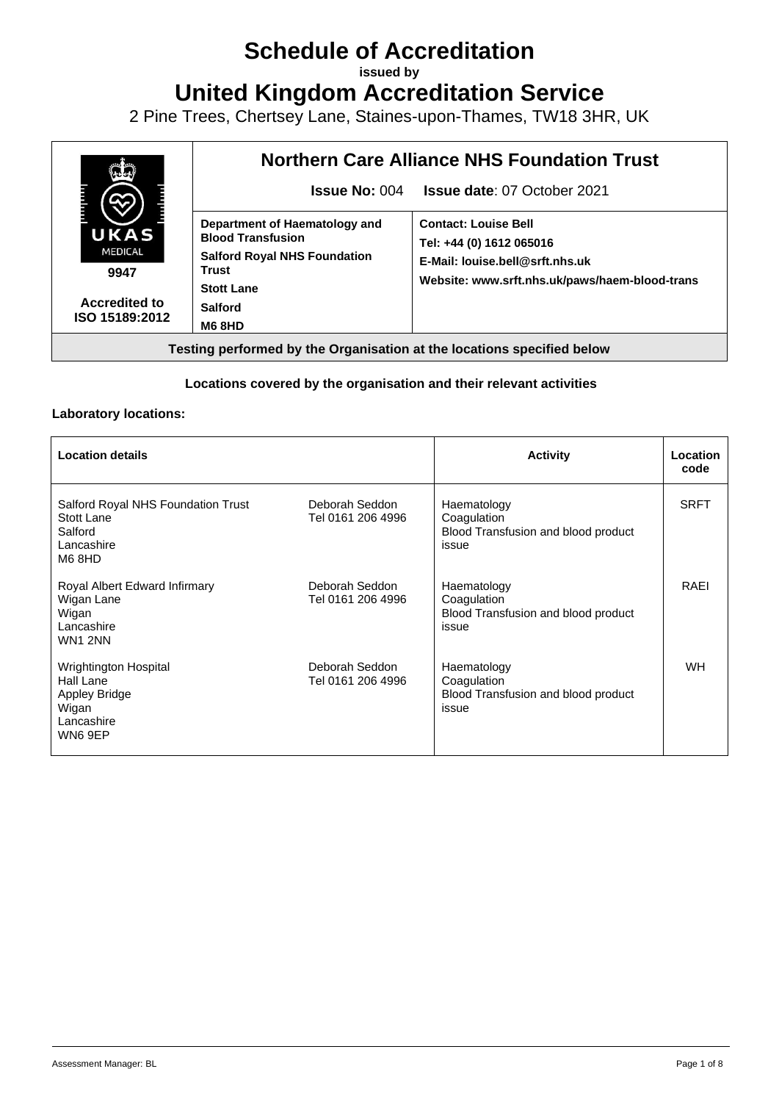# **Schedule of Accreditation**

**issued by**

**United Kingdom Accreditation Service**

2 Pine Trees, Chertsey Lane, Staines-upon-Thames, TW18 3HR, UK



### **Locations covered by the organisation and their relevant activities**

### **Laboratory locations:**

| <b>Location details</b>                                                                      |                                     | <b>Activity</b>                                                            | Location<br>code |
|----------------------------------------------------------------------------------------------|-------------------------------------|----------------------------------------------------------------------------|------------------|
| Salford Royal NHS Foundation Trust<br>Stott Lane<br>Salford<br>Lancashire<br>M6 8HD          | Deborah Seddon<br>Tel 0161 206 4996 | Haematology<br>Coagulation<br>Blood Transfusion and blood product<br>issue | <b>SRFT</b>      |
| Royal Albert Edward Infirmary<br>Wigan Lane<br>Wigan<br>Lancashire<br><b>WN1 2NN</b>         | Deborah Seddon<br>Tel 0161 206 4996 | Haematology<br>Coagulation<br>Blood Transfusion and blood product<br>issue | RAEI             |
| Wrightington Hospital<br>Hall Lane<br><b>Appley Bridge</b><br>Wigan<br>Lancashire<br>WN6 9EP | Deborah Seddon<br>Tel 0161 206 4996 | Haematology<br>Coagulation<br>Blood Transfusion and blood product<br>issue | <b>WH</b>        |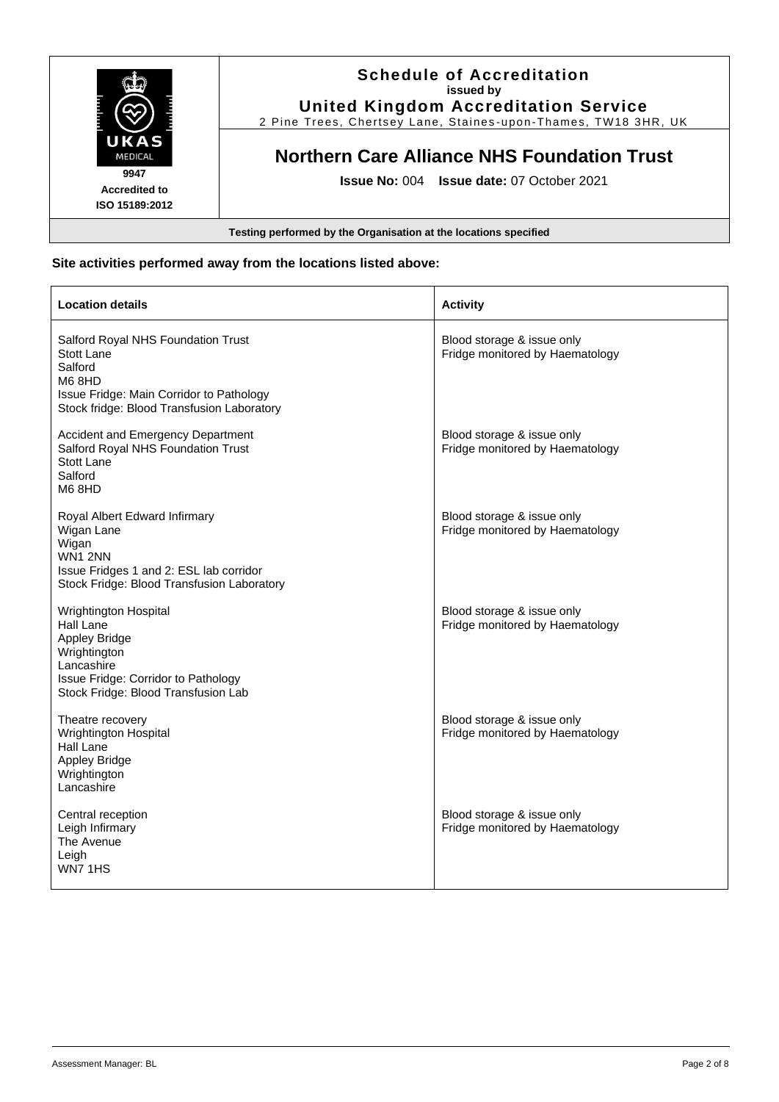

### **Site activities performed away from the locations listed above:**

| <b>Location details</b>                                                                                                                                                | <b>Activity</b>                                               |
|------------------------------------------------------------------------------------------------------------------------------------------------------------------------|---------------------------------------------------------------|
| Salford Royal NHS Foundation Trust<br>Stott Lane<br>Salford<br>M68HD<br>Issue Fridge: Main Corridor to Pathology<br>Stock fridge: Blood Transfusion Laboratory         | Blood storage & issue only<br>Fridge monitored by Haematology |
| <b>Accident and Emergency Department</b><br>Salford Royal NHS Foundation Trust<br>Stott Lane<br>Salford<br>M6 8HD                                                      | Blood storage & issue only<br>Fridge monitored by Haematology |
| Royal Albert Edward Infirmary<br>Wigan Lane<br>Wigan<br><b>WN1 2NN</b><br>Issue Fridges 1 and 2: ESL lab corridor<br>Stock Fridge: Blood Transfusion Laboratory        | Blood storage & issue only<br>Fridge monitored by Haematology |
| Wrightington Hospital<br>Hall Lane<br><b>Appley Bridge</b><br>Wrightington<br>Lancashire<br>Issue Fridge: Corridor to Pathology<br>Stock Fridge: Blood Transfusion Lab | Blood storage & issue only<br>Fridge monitored by Haematology |
| Theatre recovery<br>Wrightington Hospital<br>Hall Lane<br><b>Appley Bridge</b><br>Wrightington<br>Lancashire                                                           | Blood storage & issue only<br>Fridge monitored by Haematology |
| Central reception<br>Leigh Infirmary<br>The Avenue<br>Leigh<br>WN7 1HS                                                                                                 | Blood storage & issue only<br>Fridge monitored by Haematology |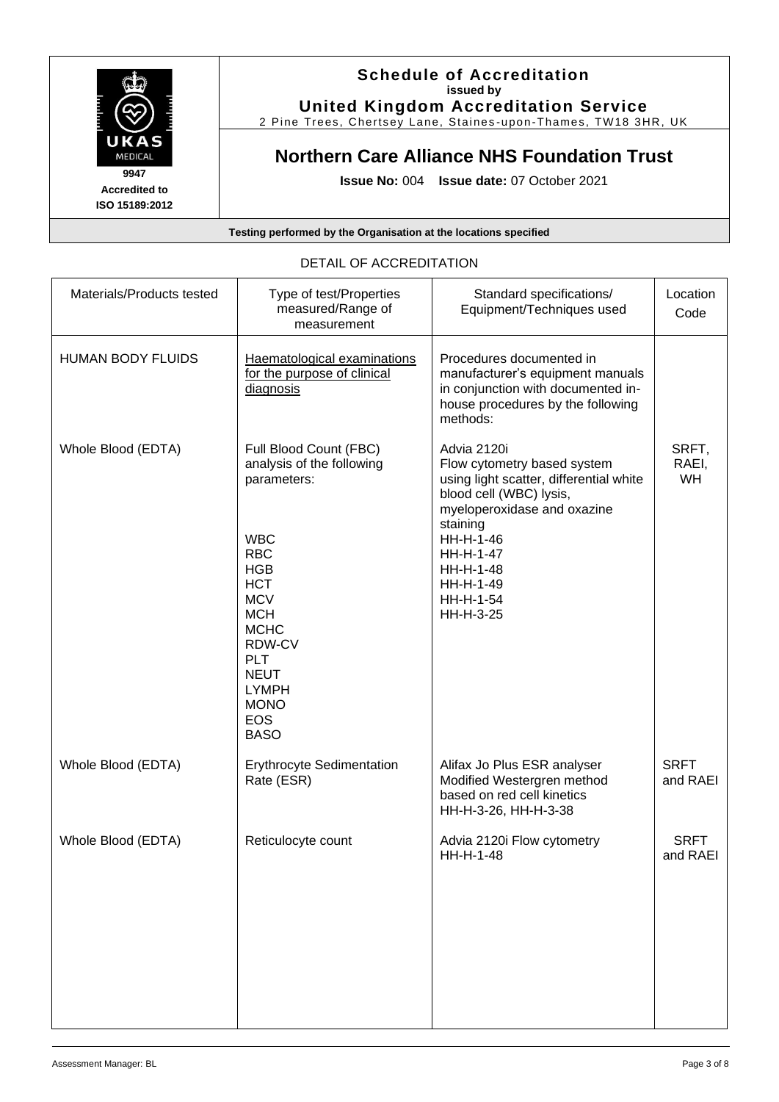

**United Kingdom Accreditation Service**

2 Pine Trees, Chertsey Lane, Staines -upon -Thames, TW18 3HR, UK

# **Northern Care Alliance NHS Foundation Trust**

**Issue No:** 004 **Issue date:** 07 October 2021

### **Testing performed by the Organisation at the locations specified**

| Materials/Products tested | Type of test/Properties<br>measured/Range of<br>measurement                                                                                                                                                                                                              | Standard specifications/<br>Equipment/Techniques used                                                                                                                                                                                     | Location<br>Code        |
|---------------------------|--------------------------------------------------------------------------------------------------------------------------------------------------------------------------------------------------------------------------------------------------------------------------|-------------------------------------------------------------------------------------------------------------------------------------------------------------------------------------------------------------------------------------------|-------------------------|
| <b>HUMAN BODY FLUIDS</b>  | Haematological examinations<br>for the purpose of clinical<br>diagnosis                                                                                                                                                                                                  | Procedures documented in<br>manufacturer's equipment manuals<br>in conjunction with documented in-<br>house procedures by the following<br>methods:                                                                                       |                         |
| Whole Blood (EDTA)        | Full Blood Count (FBC)<br>analysis of the following<br>parameters:<br><b>WBC</b><br><b>RBC</b><br><b>HGB</b><br><b>HCT</b><br><b>MCV</b><br><b>MCH</b><br><b>MCHC</b><br>RDW-CV<br><b>PLT</b><br><b>NEUT</b><br><b>LYMPH</b><br><b>MONO</b><br><b>EOS</b><br><b>BASO</b> | Advia 2120i<br>Flow cytometry based system<br>using light scatter, differential white<br>blood cell (WBC) lysis,<br>myeloperoxidase and oxazine<br>staining<br>HH-H-1-46<br>HH-H-1-47<br>HH-H-1-48<br>HH-H-1-49<br>HH-H-1-54<br>HH-H-3-25 | SRFT,<br>RAEI,<br>WH    |
| Whole Blood (EDTA)        | <b>Erythrocyte Sedimentation</b><br>Rate (ESR)                                                                                                                                                                                                                           | Alifax Jo Plus ESR analyser<br>Modified Westergren method<br>based on red cell kinetics<br>HH-H-3-26, HH-H-3-38                                                                                                                           | <b>SRFT</b><br>and RAEI |
| Whole Blood (EDTA)        | Reticulocyte count                                                                                                                                                                                                                                                       | Advia 2120i Flow cytometry<br>HH-H-1-48                                                                                                                                                                                                   | <b>SRFT</b><br>and RAEI |

### DETAIL OF ACCREDITATION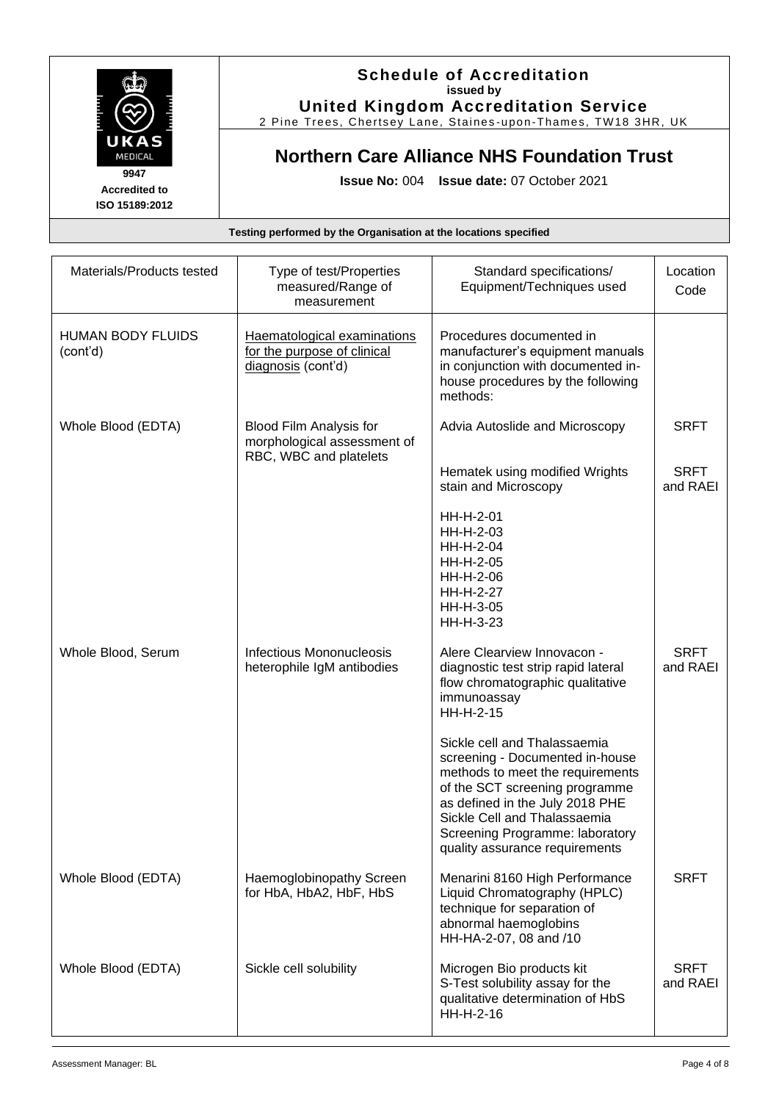

**United Kingdom Accreditation Service** 2 Pine Trees, Chertsey Lane, Staines -upon -Thames, TW18 3HR, UK

# **Northern Care Alliance NHS Foundation Trust**

**Issue No:** 004 **Issue date:** 07 October 2021

| Materials/Products tested            | Type of test/Properties<br>measured/Range of<br>measurement                      | Standard specifications/<br>Equipment/Techniques used                                                                                                                                                                                                                         | Location<br>Code        |
|--------------------------------------|----------------------------------------------------------------------------------|-------------------------------------------------------------------------------------------------------------------------------------------------------------------------------------------------------------------------------------------------------------------------------|-------------------------|
| <b>HUMAN BODY FLUIDS</b><br>(cont'd) | Haematological examinations<br>for the purpose of clinical<br>diagnosis (cont'd) | Procedures documented in<br>manufacturer's equipment manuals<br>in conjunction with documented in-<br>house procedures by the following<br>methods:                                                                                                                           |                         |
| Whole Blood (EDTA)                   | Blood Film Analysis for<br>morphological assessment of<br>RBC, WBC and platelets | Advia Autoslide and Microscopy                                                                                                                                                                                                                                                | <b>SRFT</b>             |
|                                      |                                                                                  | Hematek using modified Wrights<br>stain and Microscopy                                                                                                                                                                                                                        | <b>SRFT</b><br>and RAEI |
|                                      |                                                                                  | HH-H-2-01<br>HH-H-2-03<br>HH-H-2-04<br>HH-H-2-05<br>HH-H-2-06<br>HH-H-2-27<br>HH-H-3-05<br>HH-H-3-23                                                                                                                                                                          |                         |
| Whole Blood, Serum                   | <b>Infectious Mononucleosis</b><br>heterophile IgM antibodies                    | Alere Clearview Innovacon -<br>diagnostic test strip rapid lateral<br>flow chromatographic qualitative<br>immunoassay<br>HH-H-2-15                                                                                                                                            | <b>SRFT</b><br>and RAEI |
|                                      |                                                                                  | Sickle cell and Thalassaemia<br>screening - Documented in-house<br>methods to meet the requirements<br>of the SCT screening programme<br>as defined in the July 2018 PHE<br>Sickle Cell and Thalassaemia<br>Screening Programme: laboratory<br>quality assurance requirements |                         |
| Whole Blood (EDTA)                   | Haemoglobinopathy Screen<br>for HbA, HbA2, HbF, HbS                              | Menarini 8160 High Performance<br>Liquid Chromatography (HPLC)<br>technique for separation of<br>abnormal haemoglobins<br>HH-HA-2-07, 08 and /10                                                                                                                              | <b>SRFT</b>             |
| Whole Blood (EDTA)                   | Sickle cell solubility                                                           | Microgen Bio products kit<br>S-Test solubility assay for the<br>qualitative determination of HbS<br>HH-H-2-16                                                                                                                                                                 | <b>SRFT</b><br>and RAEI |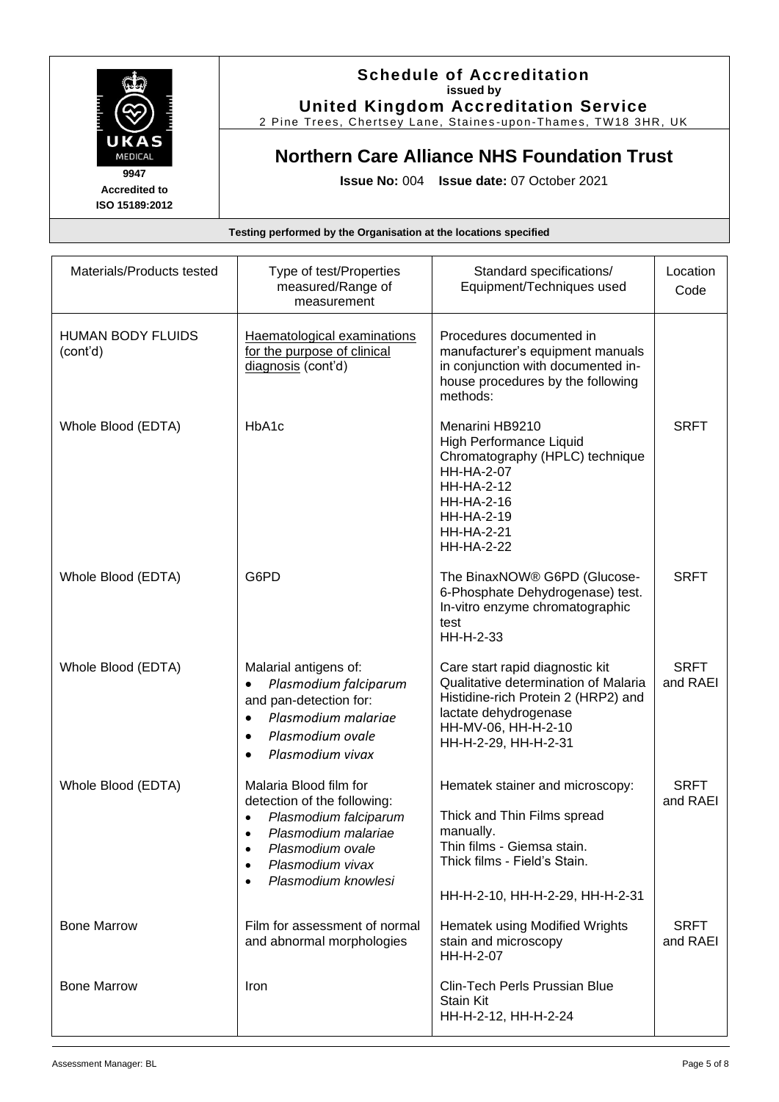

**United Kingdom Accreditation Service** 2 Pine Trees, Chertsey Lane, Staines -upon -Thames, TW18 3HR, UK

# **Northern Care Alliance NHS Foundation Trust**

**Issue No:** 004 **Issue date:** 07 October 2021

| Materials/Products tested            | Type of test/Properties<br>measured/Range of<br>measurement                                                                                                          | Standard specifications/<br>Equipment/Techniques used                                                                                                                                                       | Location<br>Code        |
|--------------------------------------|----------------------------------------------------------------------------------------------------------------------------------------------------------------------|-------------------------------------------------------------------------------------------------------------------------------------------------------------------------------------------------------------|-------------------------|
| <b>HUMAN BODY FLUIDS</b><br>(cont'd) | Haematological examinations<br>for the purpose of clinical<br>diagnosis (cont'd)                                                                                     | Procedures documented in<br>manufacturer's equipment manuals<br>in conjunction with documented in-<br>house procedures by the following<br>methods:                                                         |                         |
| Whole Blood (EDTA)                   | HbA1c                                                                                                                                                                | Menarini HB9210<br>High Performance Liquid<br>Chromatography (HPLC) technique<br><b>HH-HA-2-07</b><br><b>HH-HA-2-12</b><br><b>HH-HA-2-16</b><br><b>HH-HA-2-19</b><br><b>HH-HA-2-21</b><br><b>HH-HA-2-22</b> | <b>SRFT</b>             |
| Whole Blood (EDTA)                   | G6PD                                                                                                                                                                 | The BinaxNOW® G6PD (Glucose-<br>6-Phosphate Dehydrogenase) test.<br>In-vitro enzyme chromatographic<br>test<br>HH-H-2-33                                                                                    | <b>SRFT</b>             |
| Whole Blood (EDTA)                   | Malarial antigens of:<br>Plasmodium falciparum<br>and pan-detection for:<br>Plasmodium malariae<br>$\bullet$<br>Plasmodium ovale<br>$\bullet$<br>Plasmodium vivax    | Care start rapid diagnostic kit<br>Qualitative determination of Malaria<br>Histidine-rich Protein 2 (HRP2) and<br>lactate dehydrogenase<br>HH-MV-06, HH-H-2-10<br>HH-H-2-29, HH-H-2-31                      | <b>SRFT</b><br>and RAEI |
| Whole Blood (EDTA)                   | Malaria Blood film for<br>detection of the following:<br>Plasmodium falciparum<br>Plasmodium malariae<br>Plasmodium ovale<br>Plasmodium vivax<br>Plasmodium knowlesi | Hematek stainer and microscopy:<br>Thick and Thin Films spread<br>manually.<br>Thin films - Giemsa stain.<br>Thick films - Field's Stain.<br>HH-H-2-10, HH-H-2-29, HH-H-2-31                                | <b>SRFT</b><br>and RAEI |
| <b>Bone Marrow</b>                   | Film for assessment of normal<br>and abnormal morphologies                                                                                                           | Hematek using Modified Wrights<br>stain and microscopy<br>HH-H-2-07                                                                                                                                         | <b>SRFT</b><br>and RAEI |
| <b>Bone Marrow</b>                   | Iron                                                                                                                                                                 | Clin-Tech Perls Prussian Blue<br><b>Stain Kit</b><br>HH-H-2-12, HH-H-2-24                                                                                                                                   |                         |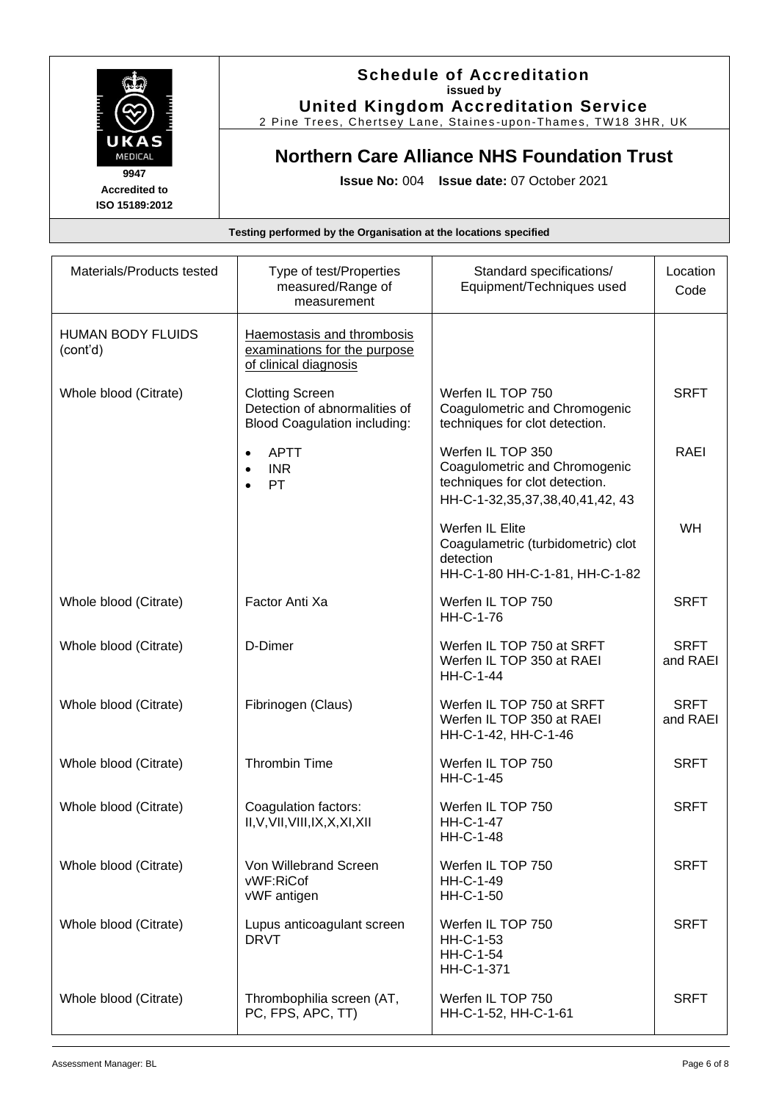

### **Schedule of Accreditation issued by United Kingdom Accreditation Service**

2 Pine Trees, Chertsey Lane, Staines -upon -Thames, TW18 3HR, UK

## **Northern Care Alliance NHS Foundation Trust**

**Issue No:** 004 **Issue date:** 07 October 2021

| Materials/Products tested            | Type of test/Properties<br>measured/Range of<br>measurement                                    | Standard specifications/<br>Equipment/Techniques used                                                                         | Location<br>Code        |
|--------------------------------------|------------------------------------------------------------------------------------------------|-------------------------------------------------------------------------------------------------------------------------------|-------------------------|
| <b>HUMAN BODY FLUIDS</b><br>(cont'd) | Haemostasis and thrombosis<br>examinations for the purpose<br>of clinical diagnosis            |                                                                                                                               |                         |
| Whole blood (Citrate)                | <b>Clotting Screen</b><br>Detection of abnormalities of<br><b>Blood Coagulation including:</b> | Werfen IL TOP 750<br>Coagulometric and Chromogenic<br>techniques for clot detection.                                          | <b>SRFT</b>             |
|                                      | <b>APTT</b><br><b>INR</b><br><b>PT</b><br>$\bullet$                                            | Werfen IL TOP 350<br>Coagulometric and Chromogenic<br>techniques for clot detection.<br>HH-C-1-32, 35, 37, 38, 40, 41, 42, 43 | RAEI                    |
|                                      |                                                                                                | Werfen IL Elite<br>Coagulametric (turbidometric) clot<br>detection<br>HH-C-1-80 HH-C-1-81, HH-C-1-82                          | WH                      |
| Whole blood (Citrate)                | Factor Anti Xa                                                                                 | Werfen IL TOP 750<br>HH-C-1-76                                                                                                | <b>SRFT</b>             |
| Whole blood (Citrate)                | D-Dimer                                                                                        | Werfen IL TOP 750 at SRFT<br>Werfen IL TOP 350 at RAEI<br><b>HH-C-1-44</b>                                                    | <b>SRFT</b><br>and RAEI |
| Whole blood (Citrate)                | Fibrinogen (Claus)                                                                             | Werfen IL TOP 750 at SRFT<br>Werfen IL TOP 350 at RAEI<br>HH-C-1-42, HH-C-1-46                                                | <b>SRFT</b><br>and RAEI |
| Whole blood (Citrate)                | <b>Thrombin Time</b>                                                                           | Werfen IL TOP 750<br><b>HH-C-1-45</b>                                                                                         | <b>SRFT</b>             |
| Whole blood (Citrate)                | Coagulation factors:<br>II, V, VII, VIII, IX, X, XI, XII                                       | Werfen IL TOP 750<br><b>HH-C-1-47</b><br>HH-C-1-48                                                                            | <b>SRFT</b>             |
| Whole blood (Citrate)                | Von Willebrand Screen<br>vWF:RiCof<br>vWF antigen                                              | Werfen IL TOP 750<br>HH-C-1-49<br>HH-C-1-50                                                                                   | <b>SRFT</b>             |
| Whole blood (Citrate)                | Lupus anticoagulant screen<br><b>DRVT</b>                                                      | Werfen IL TOP 750<br>HH-C-1-53<br>HH-C-1-54<br>HH-C-1-371                                                                     | <b>SRFT</b>             |
| Whole blood (Citrate)                | Thrombophilia screen (AT,<br>PC, FPS, APC, TT)                                                 | Werfen IL TOP 750<br>HH-C-1-52, HH-C-1-61                                                                                     | <b>SRFT</b>             |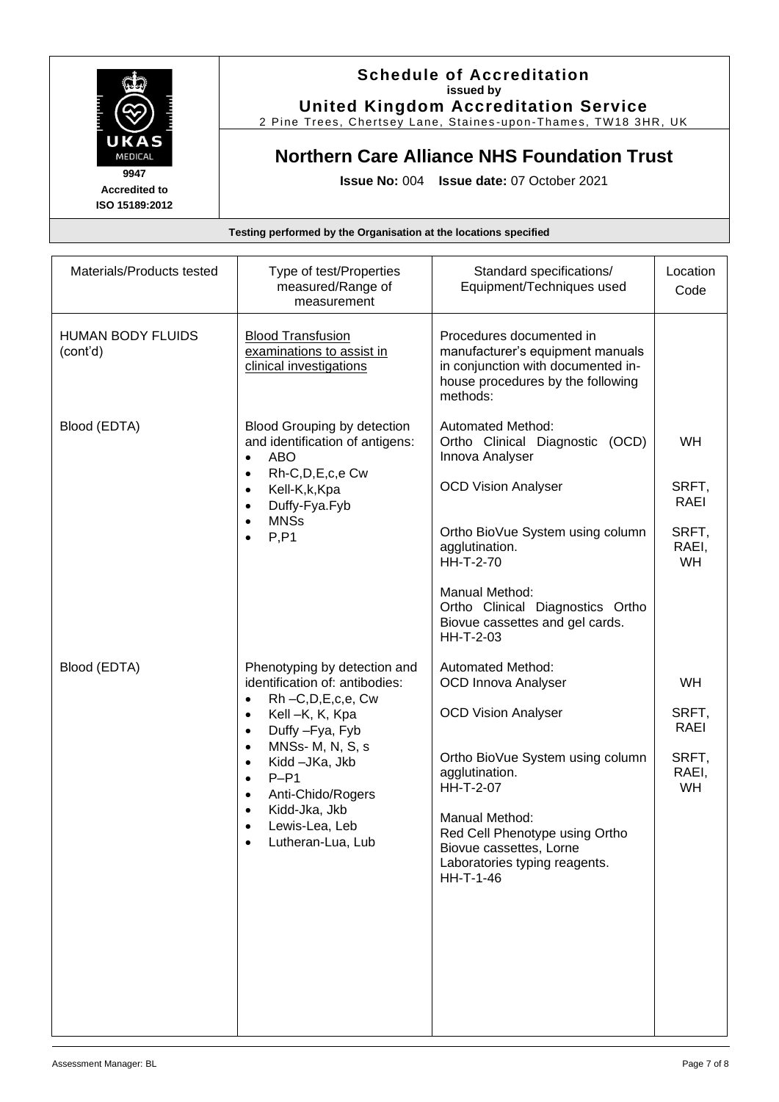

**United Kingdom Accreditation Service** 2 Pine Trees, Chertsey Lane, Staines -upon -Thames, TW18 3HR, UK

# **Northern Care Alliance NHS Foundation Trust**

**Issue No:** 004 **Issue date:** 07 October 2021

| Materials/Products tested            | Type of test/Properties<br>measured/Range of<br>measurement                                                                                                                                                                                                                                                                                                   | Standard specifications/<br>Equipment/Techniques used                                                                                                                                                                                                                                 | Location<br>Code                                          |
|--------------------------------------|---------------------------------------------------------------------------------------------------------------------------------------------------------------------------------------------------------------------------------------------------------------------------------------------------------------------------------------------------------------|---------------------------------------------------------------------------------------------------------------------------------------------------------------------------------------------------------------------------------------------------------------------------------------|-----------------------------------------------------------|
| <b>HUMAN BODY FLUIDS</b><br>(cont'd) | <b>Blood Transfusion</b><br>examinations to assist in<br>clinical investigations                                                                                                                                                                                                                                                                              | Procedures documented in<br>manufacturer's equipment manuals<br>in conjunction with documented in-<br>house procedures by the following<br>methods:                                                                                                                                   |                                                           |
| Blood (EDTA)                         | <b>Blood Grouping by detection</b><br>and identification of antigens:<br><b>ABO</b><br>$\bullet$<br>Rh-C,D,E,c,e Cw<br>$\bullet$<br>Kell-K,k,Kpa<br>$\bullet$<br>Duffy-Fya.Fyb<br>$\bullet$<br><b>MNSs</b><br>$\bullet$<br>P, P1<br>$\bullet$                                                                                                                 | <b>Automated Method:</b><br>Ortho Clinical Diagnostic (OCD)<br>Innova Analyser<br><b>OCD Vision Analyser</b><br>Ortho BioVue System using column<br>agglutination.<br>HH-T-2-70<br>Manual Method:<br>Ortho Clinical Diagnostics Ortho<br>Biovue cassettes and gel cards.<br>HH-T-2-03 | <b>WH</b><br>SRFT,<br>RAEI<br>SRFT,<br>RAEI,<br><b>WH</b> |
| Blood (EDTA)                         | Phenotyping by detection and<br>identification of: antibodies:<br>Rh-C,D,E,c,e, Cw<br>$\bullet$<br>Kell-K, K, Kpa<br>$\bullet$<br>Duffy - Fya, Fyb<br>$\bullet$<br>MNSs-M, N, S, s<br>$\bullet$<br>Kidd - JKa, Jkb<br>$\bullet$<br>$P-P1$<br>$\bullet$<br>Anti-Chido/Rogers<br>$\bullet$<br>Kidd-Jka, Jkb<br>$\bullet$<br>Lewis-Lea, Leb<br>Lutheran-Lua, Lub | Automated Method:<br><b>OCD Innova Analyser</b><br><b>OCD Vision Analyser</b><br>Ortho BioVue System using column<br>agglutination.<br>HH-T-2-07<br>Manual Method:<br>Red Cell Phenotype using Ortho<br>Biovue cassettes, Lorne<br>Laboratories typing reagents.<br>HH-T-1-46         | <b>WH</b><br>SRFT,<br>RAEI<br>SRFT,<br>RAEI,<br>WH        |